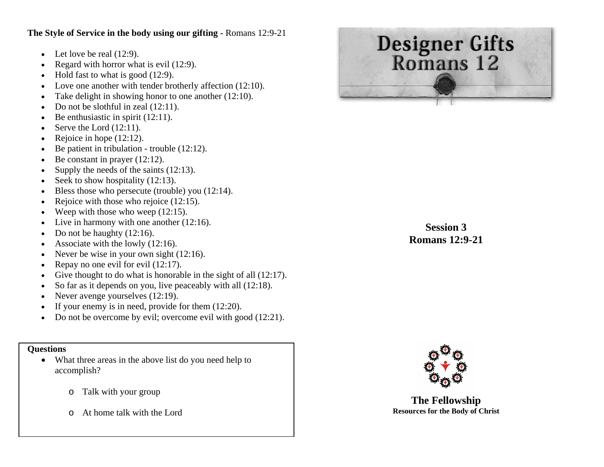## **The Style of Service in the body using our gifting -** Romans 12:9-21

- Let love be real  $(12:9)$ .
- c Regard with horror what is evil (12:9).
- c Hold fast to what is good (12:9).
- c Love one another with tender brotherly affection (12:10).
- e Take delight in showing honor to one another (12:10).
- Do not be slothful in zeal (12:11).
- $\bullet$ Be enthusiastic in spirit  $(12:11)$ .
- $\bullet$ Serve the Lord (12:11).
- c Rejoice in hope (12:12).
- e Be patient in tribulation - trouble (12:12).
- Be constant in prayer (12:12).
- $\bullet$ Supply the needs of the saints (12:13).
- c Seek to show hospitality  $(12:13)$ .
- c Bless those who persecute (trouble) you (12:14).
- e Rejoice with those who rejoice (12:15).
- Weep with those who weep  $(12:15)$ .
- c Live in harmony with one another (12:16).
- c Do not be haughty  $(12:16)$ .
- c Associate with the lowly (12:16).
- e Never be wise in your own sight (12:16).
- Repay no one evil for evil (12:17).
- c Give thought to do what is honorable in the sight of all  $(12:17)$ .
- c So far as it depends on you, live peaceably with all (12:18).
- c Never avenge yourselves (12:19).
- e If your enemy is in need, provide for them (12:20).
- Do not be overcome by evil; overcome evil with good (12:21).

# **Questions**

- What three areas in the above list do you need help to accomplish?
	- oTalk with your group
	- oAt home talk with the Lord



**Session 3 Romans 12:9-21** 



**The Fellowship Resources for the Body of Christ**